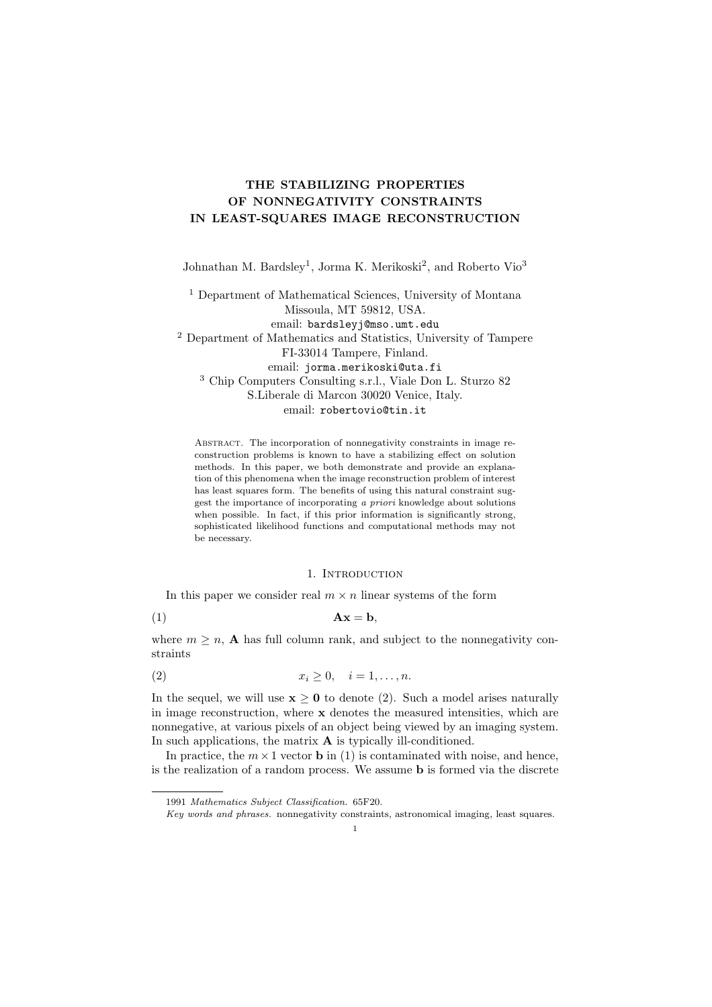# THE STABILIZING PROPERTIES OF NONNEGATIVITY CONSTRAINTS IN LEAST-SQUARES IMAGE RECONSTRUCTION

Johnathan M. Bardsley<sup>1</sup>, Jorma K. Merikoski<sup>2</sup>, and Roberto Vio<sup>3</sup>

<sup>1</sup> Department of Mathematical Sciences, University of Montana Missoula, MT 59812, USA. email: bardsleyj@mso.umt.edu <sup>2</sup> Department of Mathematics and Statistics, University of Tampere FI-33014 Tampere, Finland. email: jorma.merikoski@uta.fi <sup>3</sup> Chip Computers Consulting s.r.l., Viale Don L. Sturzo 82 S.Liberale di Marcon 30020 Venice, Italy. email: robertovio@tin.it

Abstract. The incorporation of nonnegativity constraints in image reconstruction problems is known to have a stabilizing effect on solution methods. In this paper, we both demonstrate and provide an explanation of this phenomena when the image reconstruction problem of interest has least squares form. The benefits of using this natural constraint suggest the importance of incorporating a priori knowledge about solutions when possible. In fact, if this prior information is significantly strong, sophisticated likelihood functions and computational methods may not be necessary.

### 1. Introduction

In this paper we consider real  $m \times n$  linear systems of the form

$$
Ax = b,
$$

where  $m \geq n$ , **A** has full column rank, and subject to the nonnegativity constraints

$$
(2) \t\t x_i \geq 0, \quad i = 1, \ldots, n.
$$

In the sequel, we will use  $x \ge 0$  to denote (2). Such a model arises naturally in image reconstruction, where x denotes the measured intensities, which are nonnegative, at various pixels of an object being viewed by an imaging system. In such applications, the matrix  $\bf{A}$  is typically ill-conditioned.

In practice, the  $m \times 1$  vector **b** in (1) is contaminated with noise, and hence, is the realization of a random process. We assume b is formed via the discrete

<sup>1991</sup> Mathematics Subject Classification. 65F20.

Key words and phrases. nonnegativity constraints, astronomical imaging, least squares.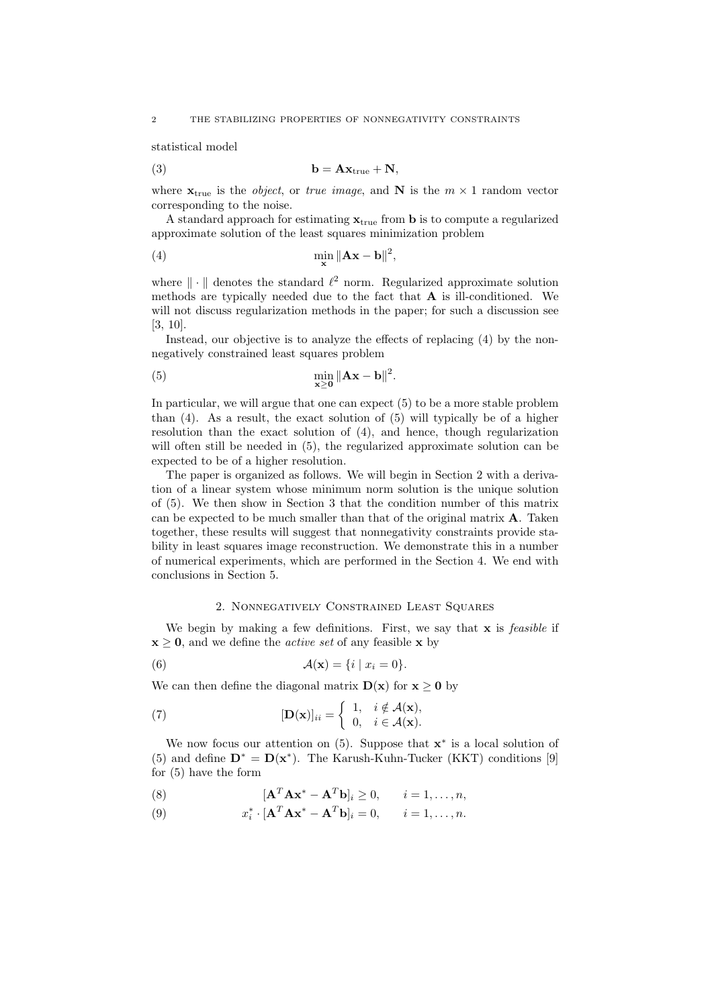statistical model

$$
b = Axtrue + N,
$$

where  $\mathbf{x}_{true}$  is the *object*, or *true image*, and N is the  $m \times 1$  random vector corresponding to the noise.

A standard approach for estimating  $\mathbf{x}_{true}$  from **b** is to compute a regularized approximate solution of the least squares minimization problem

(4) 
$$
\min_{\mathbf{x}} \|\mathbf{A}\mathbf{x} - \mathbf{b}\|^2,
$$

where  $\|\cdot\|$  denotes the standard  $\ell^2$  norm. Regularized approximate solution methods are typically needed due to the fact that  $A$  is ill-conditioned. We will not discuss regularization methods in the paper; for such a discussion see [3, 10].

Instead, our objective is to analyze the effects of replacing (4) by the nonnegatively constrained least squares problem

(5) 
$$
\min_{\mathbf{x} \geq \mathbf{0}} \|\mathbf{A}\mathbf{x} - \mathbf{b}\|^2.
$$

In particular, we will argue that one can expect (5) to be a more stable problem than (4). As a result, the exact solution of (5) will typically be of a higher resolution than the exact solution of (4), and hence, though regularization will often still be needed in (5), the regularized approximate solution can be expected to be of a higher resolution.

The paper is organized as follows. We will begin in Section 2 with a derivation of a linear system whose minimum norm solution is the unique solution of (5). We then show in Section 3 that the condition number of this matrix can be expected to be much smaller than that of the original matrix  $A$ . Taken together, these results will suggest that nonnegativity constraints provide stability in least squares image reconstruction. We demonstrate this in a number of numerical experiments, which are performed in the Section 4. We end with conclusions in Section 5.

### 2. Nonnegatively Constrained Least Squares

We begin by making a few definitions. First, we say that  $x$  is *feasible* if  $x \geq 0$ , and we define the *active set* of any feasible x by

(6) 
$$
\mathcal{A}(\mathbf{x}) = \{i \mid x_i = 0\}.
$$

We can then define the diagonal matrix  $\mathbf{D}(\mathbf{x})$  for  $\mathbf{x} \geq \mathbf{0}$  by

(7) 
$$
[\mathbf{D}(\mathbf{x})]_{ii} = \begin{cases} 1, & i \notin \mathcal{A}(\mathbf{x}), \\ 0, & i \in \mathcal{A}(\mathbf{x}). \end{cases}
$$

We now focus our attention on  $(5)$ . Suppose that  $\mathbf{x}^*$  is a local solution of (5) and define  $\mathbf{D}^* = \mathbf{D}(\mathbf{x}^*)$ . The Karush-Kuhn-Tucker (KKT) conditions [9] for (5) have the form

(8) 
$$
[\mathbf{A}^T \mathbf{A} \mathbf{x}^* - \mathbf{A}^T \mathbf{b}]_i \geq 0, \qquad i = 1, \dots, n,
$$

(9)  $x_i^* \cdot [\mathbf{A}^T \mathbf{A} \mathbf{x}^* - \mathbf{A}^T \mathbf{b}]_i = 0, \quad i = 1, \dots, n.$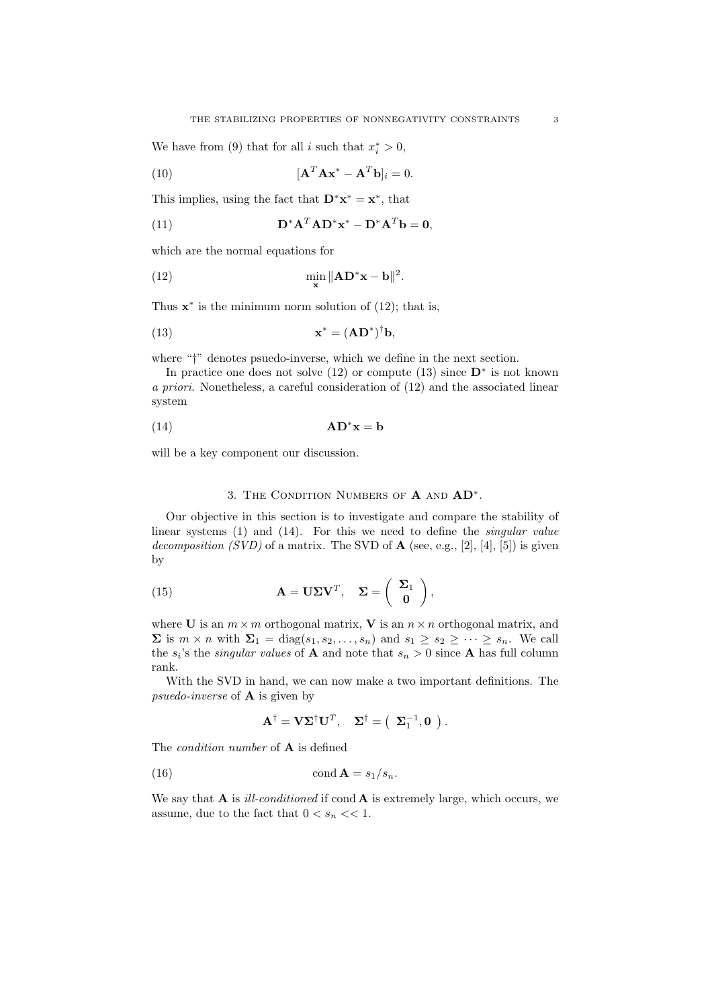We have from (9) that for all *i* such that  $x_i^* > 0$ ,

(10) 
$$
[\mathbf{A}^T \mathbf{A} \mathbf{x}^* - \mathbf{A}^T \mathbf{b}]_i = 0.
$$

This implies, using the fact that  $\mathbf{D}^* \mathbf{x}^* = \mathbf{x}^*$ , that

(11) 
$$
\mathbf{D}^* \mathbf{A}^T \mathbf{A} \mathbf{D}^* \mathbf{x}^* - \mathbf{D}^* \mathbf{A}^T \mathbf{b} = \mathbf{0},
$$

which are the normal equations for

(12) 
$$
\min_{\mathbf{x}} \|\mathbf{A}\mathbf{D}^* \mathbf{x} - \mathbf{b}\|^2.
$$

Thus  $\mathbf{x}^*$  is the minimum norm solution of (12); that is,

(13) 
$$
\mathbf{x}^* = (\mathbf{A}\mathbf{D}^*)^{\dagger}\mathbf{b},
$$

where "<sup>†</sup>" denotes psuedo-inverse, which we define in the next section.

In practice one does not solve  $(12)$  or compute  $(13)$  since  $\mathbf{D}^*$  is not known a priori. Nonetheless, a careful consideration of (12) and the associated linear system

$$
(14) \t\t\tAD*x = b
$$

will be a key component our discussion.

# 3. THE CONDITION NUMBERS OF  $A$  and  $AD^*$ .

Our objective in this section is to investigate and compare the stability of linear systems (1) and (14). For this we need to define the *singular value* decomposition  $(SVD)$  of a matrix. The SVD of  $A$  (see, e.g., [2], [4], [5]) is given by

(15) 
$$
\mathbf{A} = \mathbf{U} \Sigma \mathbf{V}^T, \quad \Sigma = \begin{pmatrix} \Sigma_1 \\ \mathbf{0} \end{pmatrix},
$$

where **U** is an  $m \times m$  orthogonal matrix, **V** is an  $n \times n$  orthogonal matrix, and  $\Sigma$  is  $m \times n$  with  $\Sigma_1 = \text{diag}(s_1, s_2, \ldots, s_n)$  and  $s_1 \geq s_2 \geq \cdots \geq s_n$ . We call the  $s_i$ 's the *singular values* of **A** and note that  $s_n > 0$  since **A** has full column rank.

With the SVD in hand, we can now make a two important definitions. The psuedo-inverse of A is given by

$$
\mathbf{A}^{\dagger} = \mathbf{V} \mathbf{\Sigma}^{\dagger} \mathbf{U}^T, \quad \mathbf{\Sigma}^{\dagger} = \left( \begin{array}{c} \mathbf{\Sigma}_1^{-1}, \mathbf{0} \end{array} \right).
$$

The *condition number* of  $\bf{A}$  is defined

(16) 
$$
\operatorname{cond} \mathbf{A} = s_1/s_n.
$$

We say that  $A$  is *ill-conditioned* if cond  $A$  is extremely large, which occurs, we assume, due to the fact that  $0 < s_n \ll 1$ .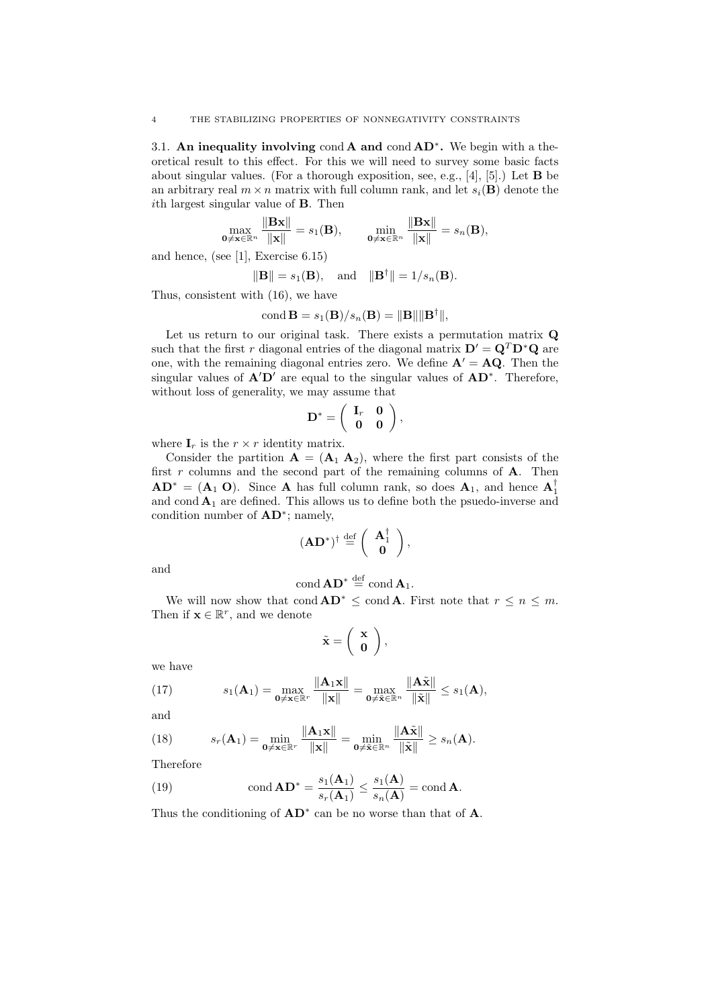3.1. An inequality involving cond A and cond  $AD^*$ . We begin with a theoretical result to this effect. For this we will need to survey some basic facts about singular values. (For a thorough exposition, see, e.g., [4], [5].) Let B be an arbitrary real  $m \times n$  matrix with full column rank, and let  $s_i(\mathbf{B})$  denote the ith largest singular value of B. Then

$$
\max_{\mathbf{0}\neq\mathbf{x}\in\mathbb{R}^n} \frac{\|\mathbf{B}\mathbf{x}\|}{\|\mathbf{x}\|} = s_1(\mathbf{B}), \qquad \min_{\mathbf{0}\neq\mathbf{x}\in\mathbb{R}^n} \frac{\|\mathbf{B}\mathbf{x}\|}{\|\mathbf{x}\|} = s_n(\mathbf{B}),
$$

and hence, (see [1], Exercise 6.15)

$$
\|\mathbf{B}\| = s_1(\mathbf{B}), \text{ and } \|\mathbf{B}^\dagger\| = 1/s_n(\mathbf{B}).
$$

Thus, consistent with (16), we have

$$
\text{cond }\mathbf{B}=s_1(\mathbf{B})/s_n(\mathbf{B})=\|\mathbf{B}\|\|\mathbf{B}^\dagger\|,
$$

Let us return to our original task. There exists a permutation matrix Q such that the first r diagonal entries of the diagonal matrix  $\mathbf{D}' = \mathbf{Q}^T \mathbf{D}^* \mathbf{Q}$  are one, with the remaining diagonal entries zero. We define  $A' = AQ$ . Then the singular values of  $A'D'$  are equal to the singular values of  $AD^*$ . Therefore, without loss of generality, we may assume that

$$
\mathbf{D}^* = \left( \begin{array}{cc} \mathbf{I}_r & \mathbf{0} \\ \mathbf{0} & \mathbf{0} \end{array} \right),
$$

where  $\mathbf{I}_r$  is the  $r \times r$  identity matrix.

Consider the partition  $\mathbf{A} = (\mathbf{A}_1 \ \mathbf{A}_2)$ , where the first part consists of the first  $r$  columns and the second part of the remaining columns of  $A$ . Then  $AD^* = (A_1 O)$ . Since A has full column rank, so does  $A_1$ , and hence  $A_1^{\dagger}$ and cond  $A_1$  are defined. This allows us to define both the psuedo-inverse and condition number of  $AD^*$ ; namely,

$$
(\mathbf{A}\mathbf{D}^*)^{\dagger} \stackrel{\mathrm{def}}{=} \left(\begin{array}{c} \mathbf{A}_1^{\dagger} \\ \mathbf{0} \end{array}\right),
$$

and

$$
\operatorname{cond} \mathbf{A} \mathbf{D}^* \stackrel{\text{def}}{=} \operatorname{cond} \mathbf{A}_1.
$$

We will now show that cond  $AD^* \leq \text{cond } A$ . First note that  $r \leq n \leq m$ . Then if  $\mathbf{x} \in \mathbb{R}^r$ , and we denote

$$
\tilde{\mathbf{x}} = \left(\begin{array}{c} \mathbf{x} \\ \mathbf{0} \end{array}\right),
$$

we have

(17) 
$$
s_1(\mathbf{A}_1) = \max_{\mathbf{0} \neq \mathbf{x} \in \mathbb{R}^r} \frac{\|\mathbf{A}_1 \mathbf{x}\|}{\|\mathbf{x}\|} = \max_{\mathbf{0} \neq \tilde{\mathbf{x}} \in \mathbb{R}^n} \frac{\|\mathbf{A}\tilde{\mathbf{x}}\|}{\|\tilde{\mathbf{x}}\|} \leq s_1(\mathbf{A}),
$$

and

(18) 
$$
s_r(\mathbf{A}_1) = \min_{\mathbf{0} \neq \mathbf{x} \in \mathbb{R}^r} \frac{\|\mathbf{A}_1 \mathbf{x}\|}{\|\mathbf{x}\|} = \min_{\mathbf{0} \neq \tilde{\mathbf{x}} \in \mathbb{R}^n} \frac{\|\mathbf{A}\tilde{\mathbf{x}}\|}{\|\tilde{\mathbf{x}}\|} \geq s_n(\mathbf{A}).
$$

Therefore

(19) 
$$
\text{cond } \mathbf{AD}^* = \frac{s_1(\mathbf{A}_1)}{s_r(\mathbf{A}_1)} \le \frac{s_1(\mathbf{A})}{s_n(\mathbf{A})} = \text{cond } \mathbf{A}.
$$

Thus the conditioning of  $AD^*$  can be no worse than that of  $A$ .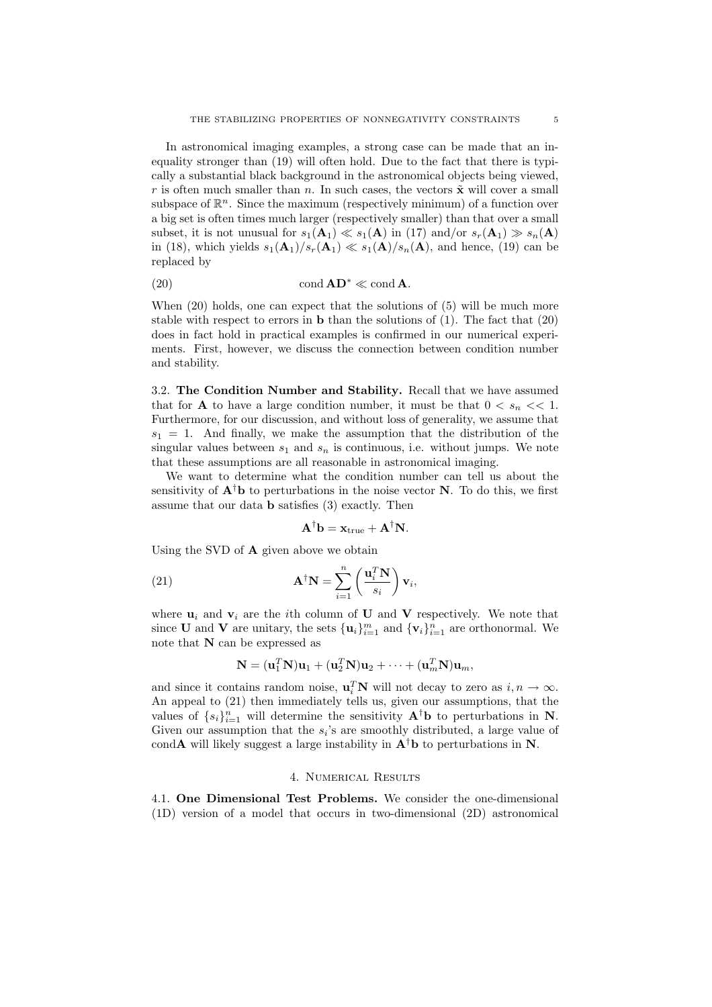In astronomical imaging examples, a strong case can be made that an inequality stronger than (19) will often hold. Due to the fact that there is typically a substantial black background in the astronomical objects being viewed, r is often much smaller than n. In such cases, the vectors  $\tilde{\mathbf{x}}$  will cover a small subspace of  $\mathbb{R}^n$ . Since the maximum (respectively minimum) of a function over a big set is often times much larger (respectively smaller) than that over a small subset, it is not unusual for  $s_1(A_1) \ll s_1(A)$  in (17) and/or  $s_r(A_1) \gg s_n(A)$ in (18), which yields  $s_1(\mathbf{A}_1)/s_r(\mathbf{A}_1) \ll s_1(\mathbf{A})/s_n(\mathbf{A})$ , and hence, (19) can be replaced by

(20) 
$$
\operatorname{cond} \mathbf{A} \mathbf{D}^* \ll \operatorname{cond} \mathbf{A}.
$$

When (20) holds, one can expect that the solutions of (5) will be much more stable with respect to errors in  $\bf{b}$  than the solutions of (1). The fact that (20) does in fact hold in practical examples is confirmed in our numerical experiments. First, however, we discuss the connection between condition number and stability.

3.2. The Condition Number and Stability. Recall that we have assumed that for **A** to have a large condition number, it must be that  $0 \lt s_n \lt \lt 1$ . Furthermore, for our discussion, and without loss of generality, we assume that  $s_1 = 1$ . And finally, we make the assumption that the distribution of the singular values between  $s_1$  and  $s_n$  is continuous, i.e. without jumps. We note that these assumptions are all reasonable in astronomical imaging.

We want to determine what the condition number can tell us about the sensitivity of  $A^{\dagger}b$  to perturbations in the noise vector N. To do this, we first assume that our data b satisfies (3) exactly. Then

$$
\mathbf{A}^{\dagger} \mathbf{b} = \mathbf{x}_{\text{true}} + \mathbf{A}^{\dagger} \mathbf{N}.
$$

Using the SVD of A given above we obtain

(21) 
$$
\mathbf{A}^{\dagger} \mathbf{N} = \sum_{i=1}^{n} \left( \frac{\mathbf{u}_{i}^{T} \mathbf{N}}{s_{i}} \right) \mathbf{v}_{i},
$$

where  $\mathbf{u}_i$  and  $\mathbf{v}_i$  are the *i*th column of **U** and **V** respectively. We note that since **U** and **V** are unitary, the sets  $\{\mathbf{u}_i\}_{i=1}^m$  and  $\{\mathbf{v}_i\}_{i=1}^n$  are orthonormal. We note that  $N$  can be expressed as

$$
\mathbf{N} = (\mathbf{u}_1^T \mathbf{N}) \mathbf{u}_1 + (\mathbf{u}_2^T \mathbf{N}) \mathbf{u}_2 + \dots + (\mathbf{u}_m^T \mathbf{N}) \mathbf{u}_m,
$$

and since it contains random noise,  $\mathbf{u}_i^T \mathbf{N}$  will not decay to zero as  $i, n \to \infty$ . An appeal to (21) then immediately tells us, given our assumptions, that the values of  $\{s_i\}_{i=1}^n$  will determine the sensitivity  $A^{\dagger}b$  to perturbations in N. Given our assumption that the  $s_i$ 's are smoothly distributed, a large value of cond**A** will likely suggest a large instability in  $A^{\dagger}b$  to perturbations in N.

#### 4. Numerical Results

4.1. One Dimensional Test Problems. We consider the one-dimensional (1D) version of a model that occurs in two-dimensional (2D) astronomical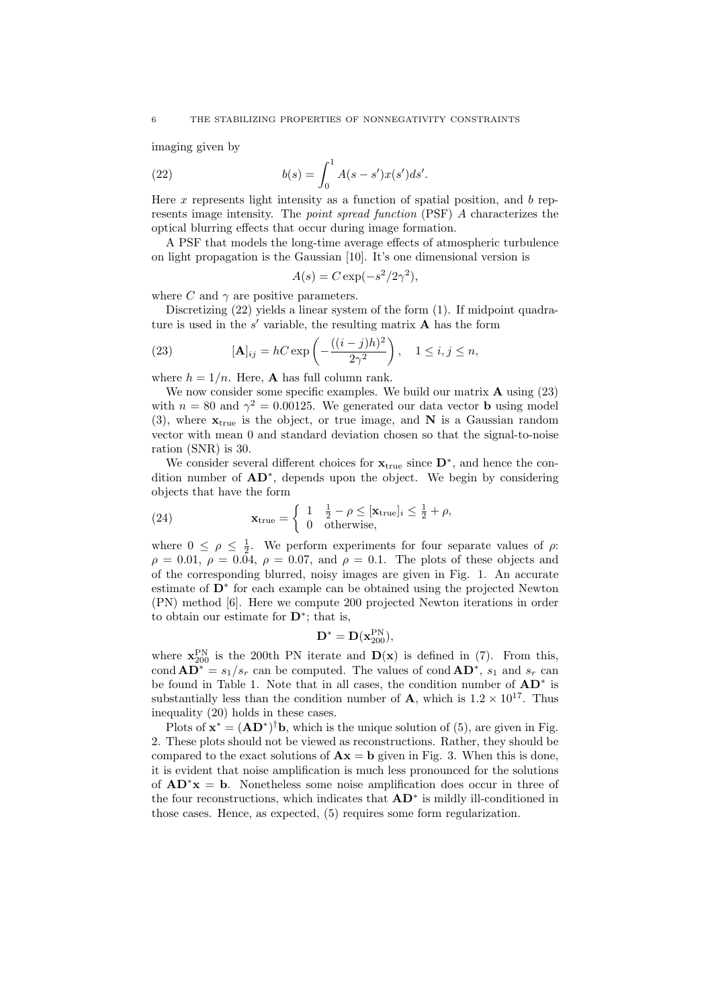imaging given by

(22) 
$$
b(s) = \int_0^1 A(s - s')x(s')ds'.
$$

Here x represents light intensity as a function of spatial position, and  $b$  represents image intensity. The point spread function (PSF) A characterizes the optical blurring effects that occur during image formation.

A PSF that models the long-time average effects of atmospheric turbulence on light propagation is the Gaussian [10]. It's one dimensional version is

$$
A(s) = C \exp(-s^2/2\gamma^2),
$$

where C and  $\gamma$  are positive parameters.

Discretizing (22) yields a linear system of the form (1). If midpoint quadrature is used in the  $s'$  variable, the resulting matrix  $A$  has the form

(23) 
$$
[\mathbf{A}]_{ij} = hC \exp\left(-\frac{((i-j)h)^2}{2\gamma^2}\right), \quad 1 \le i, j \le n,
$$

where  $h = 1/n$ . Here, **A** has full column rank.

We now consider some specific examples. We build our matrix **A** using  $(23)$ with  $n = 80$  and  $\gamma^2 = 0.00125$ . We generated our data vector **b** using model (3), where  $\mathbf{x}_{true}$  is the object, or true image, and N is a Gaussian random vector with mean 0 and standard deviation chosen so that the signal-to-noise ration (SNR) is 30.

We consider several different choices for  $\mathbf{x}_{true}$  since  $\mathbf{D}^*$ , and hence the condition number of  $AD^*$ , depends upon the object. We begin by considering objects that have the form ½

(24) 
$$
\mathbf{x}_{true} = \begin{cases} 1 & \frac{1}{2} - \rho \leq [\mathbf{x}_{true}]_i \leq \frac{1}{2} + \rho, \\ 0 & \text{otherwise,} \end{cases}
$$

where  $0 \leq \rho \leq \frac{1}{2}$ . We perform experiments for four separate values of  $\rho$ .  $\rho = 0.01, \ \rho = 0.04, \ \rho = 0.07, \text{ and } \rho = 0.1.$  The plots of these objects and of the corresponding blurred, noisy images are given in Fig. 1. An accurate estimate of D<sup>\*</sup> for each example can be obtained using the projected Newton (PN) method [6]. Here we compute 200 projected Newton iterations in order to obtain our estimate for  $\mathbf{D}^*$ ; that is,

$$
\mathbf{D}^* = \mathbf{D}(\mathbf{x}_{200}^{\mathrm{PN}}),
$$

where  $\mathbf{x}_{200}^{\text{PN}}$  is the 200th PN iterate and  $\mathbf{D}(\mathbf{x})$  is defined in (7). From this, cond  $AD^* = s_1/s_r$  can be computed. The values of cond  $AD^*$ ,  $s_1$  and  $s_r$  can be found in Table 1. Note that in all cases, the condition number of  $AD^*$  is substantially less than the condition number of **A**, which is  $1.2 \times 10^{17}$ . Thus inequality (20) holds in these cases.

Plots of  $\mathbf{x}^* = (\mathbf{A}\mathbf{D}^*)^{\dagger} \mathbf{b}$ , which is the unique solution of (5), are given in Fig. 2. These plots should not be viewed as reconstructions. Rather, they should be compared to the exact solutions of  $\mathbf{A}\mathbf{x} = \mathbf{b}$  given in Fig. 3. When this is done, it is evident that noise amplification is much less pronounced for the solutions of  $AD^*x = b$ . Nonetheless some noise amplification does occur in three of the four reconstructions, which indicates that  $AD^*$  is mildly ill-conditioned in those cases. Hence, as expected, (5) requires some form regularization.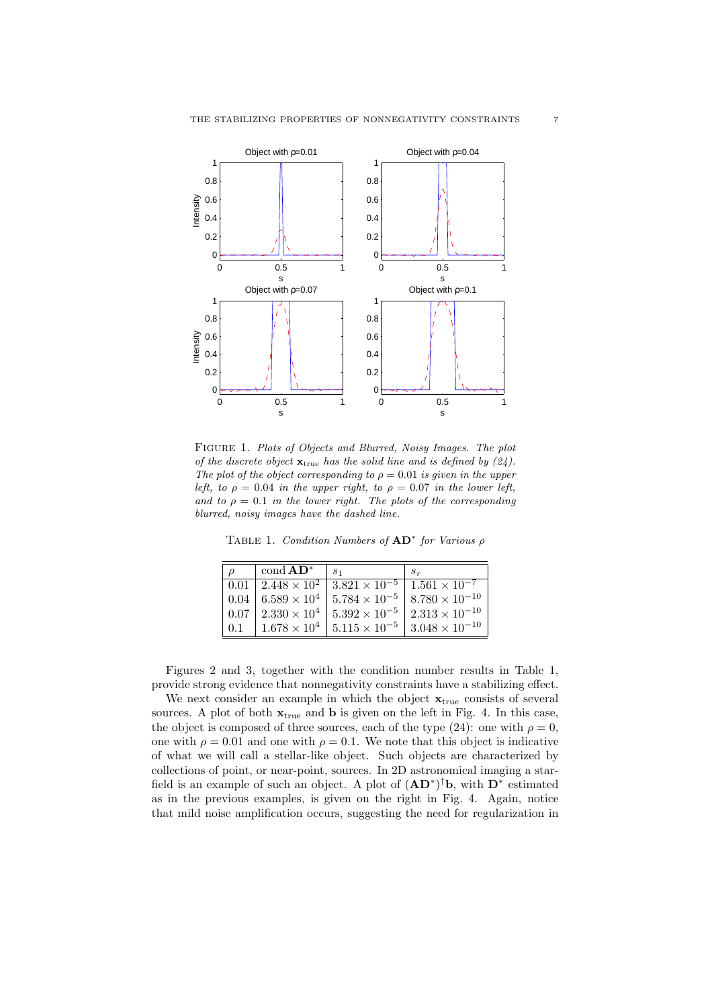

Figure 1. Plots of Objects and Blurred, Noisy Images. The plot of the discrete object  $\mathbf{x}_{true}$  has the solid line and is defined by (24). The plot of the object corresponding to  $\rho = 0.01$  is given in the upper left, to  $\rho = 0.04$  in the upper right, to  $\rho = 0.07$  in the lower left, and to  $\rho = 0.1$  in the lower right. The plots of the corresponding blurred, noisy images have the dashed line.

TABLE 1. Condition Numbers of  $AD^*$  for Various  $\rho$ 

|           | cond $AD^*$                           | S <sub>1</sub>         | $S_r$                   |
|-----------|---------------------------------------|------------------------|-------------------------|
|           | $ 0.01 2.448 \times 10^{2}$           | $3.821 \times 10^{-5}$ | $1.561 \times 10^{-7}$  |
|           | 0.04   6.589 $\times$ 10 <sup>4</sup> | $5.784 \times 10^{-5}$ | $8.780 \times 10^{-10}$ |
|           | $ 0.07 2.330\times10^{4}$             | $5.392 \times 10^{-5}$ | $2.313 \times 10^{-10}$ |
| $\pm 0.1$ | $1.678 \times 10^{4}$                 | $5.115 \times 10^{-5}$ | $3.048 \times 10^{-10}$ |

Figures 2 and 3, together with the condition number results in Table 1, provide strong evidence that nonnegativity constraints have a stabilizing effect.

We next consider an example in which the object  $\mathbf{x}_{\text{true}}$  consists of several sources. A plot of both  $\mathbf{x}_{true}$  and **b** is given on the left in Fig. 4. In this case, the object is composed of three sources, each of the type (24): one with  $\rho = 0$ , one with  $\rho = 0.01$  and one with  $\rho = 0.1$ . We note that this object is indicative of what we will call a stellar-like object. Such objects are characterized by collections of point, or near-point, sources. In 2D astronomical imaging a starfield is an example of such an object. A plot of  $(AD^*)^{\dagger}b$ , with  $D^*$  estimated as in the previous examples, is given on the right in Fig. 4. Again, notice that mild noise amplification occurs, suggesting the need for regularization in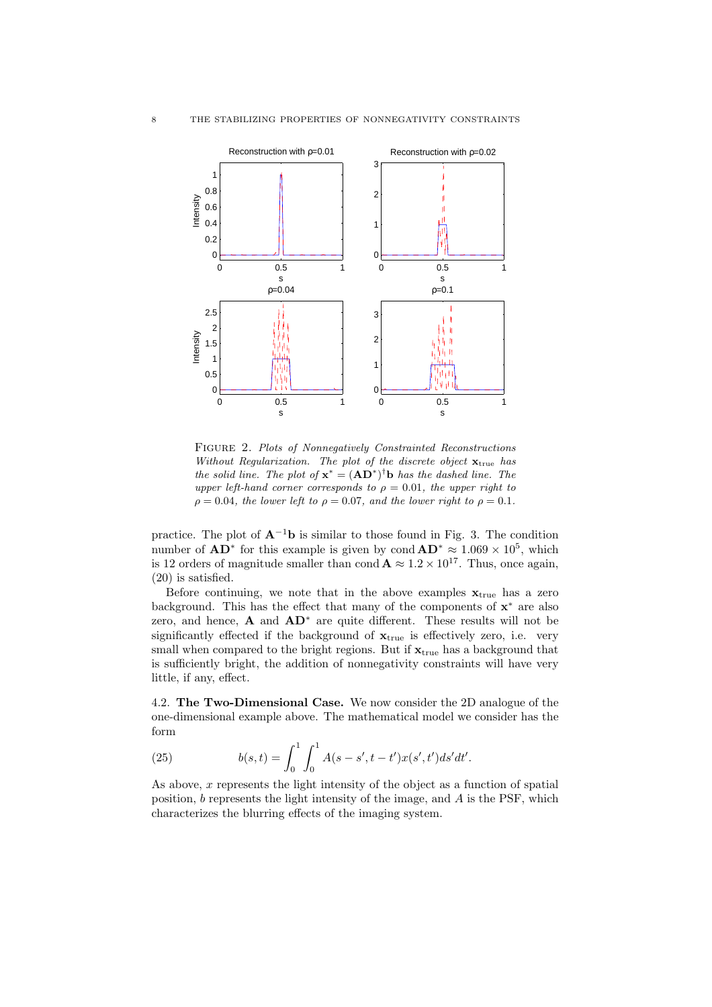

Figure 2. Plots of Nonnegatively Constrainted Reconstructions Without Regularization. The plot of the discrete object  $\mathbf{x}_{\text{true}}$  has the solid line. The plot of  $\mathbf{x}^* = (\mathbf{A}\mathbf{D}^*)^{\dagger} \mathbf{b}$  has the dashed line. The upper left-hand corner corresponds to  $\rho = 0.01$ , the upper right to  $\rho = 0.04$ , the lower left to  $\rho = 0.07$ , and the lower right to  $\rho = 0.1$ .

practice. The plot of  $A^{-1}b$  is similar to those found in Fig. 3. The condition number of  $AD^*$  for this example is given by cond  $AD^* \approx 1.069 \times 10^5$ , which is 12 orders of magnitude smaller than cond  $\mathbf{A} \approx 1.2 \times 10^{17}$ . Thus, once again, (20) is satisfied.

Before continuing, we note that in the above examples  $\mathbf{x}_{true}$  has a zero background. This has the effect that many of the components of  $x^*$  are also zero, and hence,  $\bf{A}$  and  $\bf{A}$  $\bf{D}^*$  are quite different. These results will not be significantly effected if the background of  $x_{true}$  is effectively zero, i.e. very small when compared to the bright regions. But if  $\mathbf{x}_{true}$  has a background that is sufficiently bright, the addition of nonnegativity constraints will have very little, if any, effect.

4.2. The Two-Dimensional Case. We now consider the 2D analogue of the one-dimensional example above. The mathematical model we consider has the form

(25) 
$$
b(s,t) = \int_0^1 \int_0^1 A(s-s',t-t')x(s',t')ds'dt'.
$$

As above,  $x$  represents the light intensity of the object as a function of spatial position, b represents the light intensity of the image, and A is the PSF, which characterizes the blurring effects of the imaging system.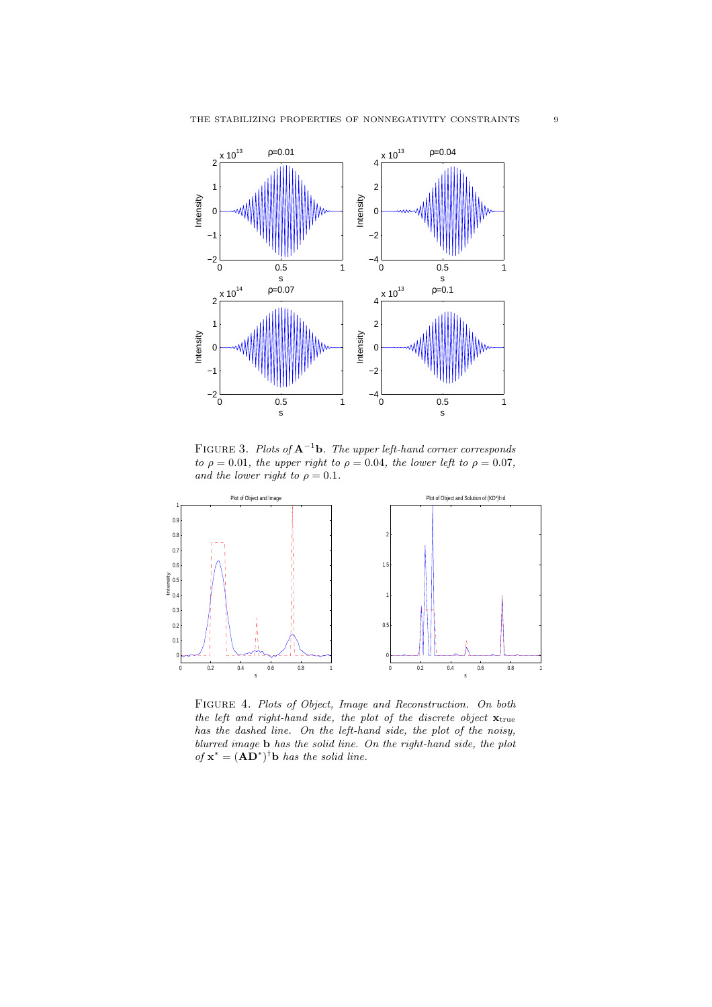

FIGURE 3. Plots of  $A^{-1}b$ . The upper left-hand corner corresponds to  $\rho = 0.01$ , the upper right to  $\rho = 0.04$ , the lower left to  $\rho = 0.07$ , and the lower right to  $\rho = 0.1$ .



Figure 4. Plots of Object, Image and Reconstruction. On both the left and right-hand side, the plot of the discrete object  $\mathbf{x}_{true}$ has the dashed line. On the left-hand side, the plot of the noisy, blurred image b has the solid line. On the right-hand side, the plot of  $\mathbf{x}^* = (\mathbf{A}\mathbf{D}^*)^{\dagger} \mathbf{b}$  has the solid line.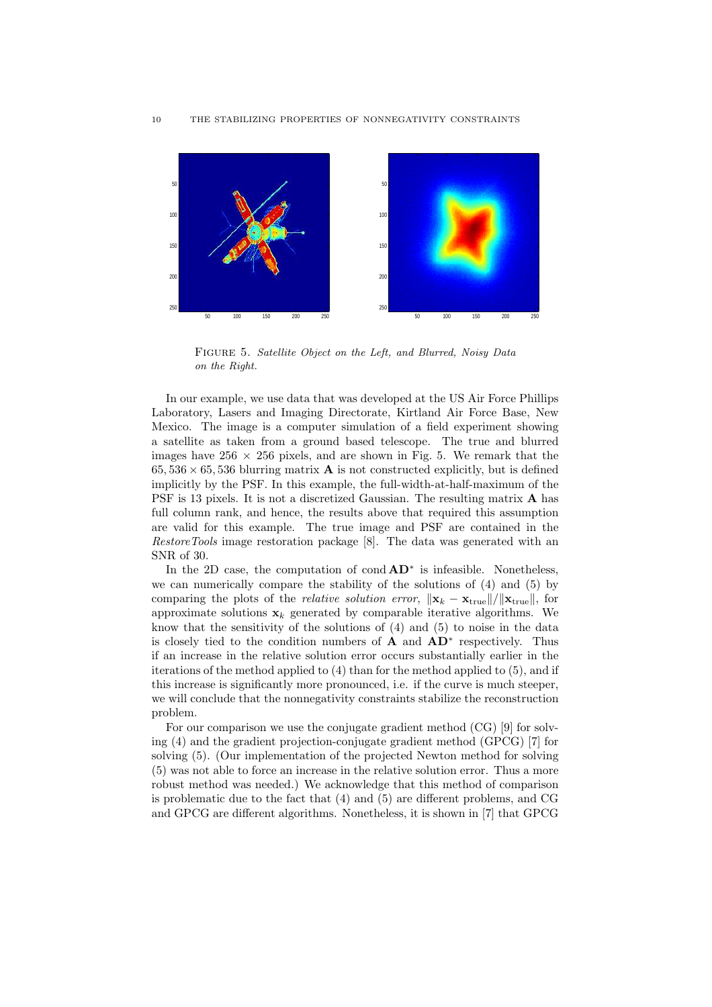

Figure 5. Satellite Object on the Left, and Blurred, Noisy Data on the Right.

In our example, we use data that was developed at the US Air Force Phillips Laboratory, Lasers and Imaging Directorate, Kirtland Air Force Base, New Mexico. The image is a computer simulation of a field experiment showing a satellite as taken from a ground based telescope. The true and blurred images have  $256 \times 256$  pixels, and are shown in Fig. 5. We remark that the  $65,536 \times 65,536$  blurring matrix **A** is not constructed explicitly, but is defined implicitly by the PSF. In this example, the full-width-at-half-maximum of the PSF is 13 pixels. It is not a discretized Gaussian. The resulting matrix A has full column rank, and hence, the results above that required this assumption are valid for this example. The true image and PSF are contained in the RestoreTools image restoration package [8]. The data was generated with an SNR of 30.

In the 2D case, the computation of cond  $AD^*$  is infeasible. Nonetheless, we can numerically compare the stability of the solutions of (4) and (5) by comparing the plots of the *relative solution error*,  $\|\mathbf{x}_k - \mathbf{x}_{\text{true}}\|/\|\mathbf{x}_{\text{true}}\|$ , for approximate solutions  $x_k$  generated by comparable iterative algorithms. We know that the sensitivity of the solutions of (4) and (5) to noise in the data is closely tied to the condition numbers of  $\mathbf{A}$  and  $\mathbf{A}\mathbf{D}^*$  respectively. Thus if an increase in the relative solution error occurs substantially earlier in the iterations of the method applied to (4) than for the method applied to (5), and if this increase is significantly more pronounced, i.e. if the curve is much steeper, we will conclude that the nonnegativity constraints stabilize the reconstruction problem.

For our comparison we use the conjugate gradient method (CG) [9] for solving (4) and the gradient projection-conjugate gradient method (GPCG) [7] for solving (5). (Our implementation of the projected Newton method for solving (5) was not able to force an increase in the relative solution error. Thus a more robust method was needed.) We acknowledge that this method of comparison is problematic due to the fact that (4) and (5) are different problems, and CG and GPCG are different algorithms. Nonetheless, it is shown in [7] that GPCG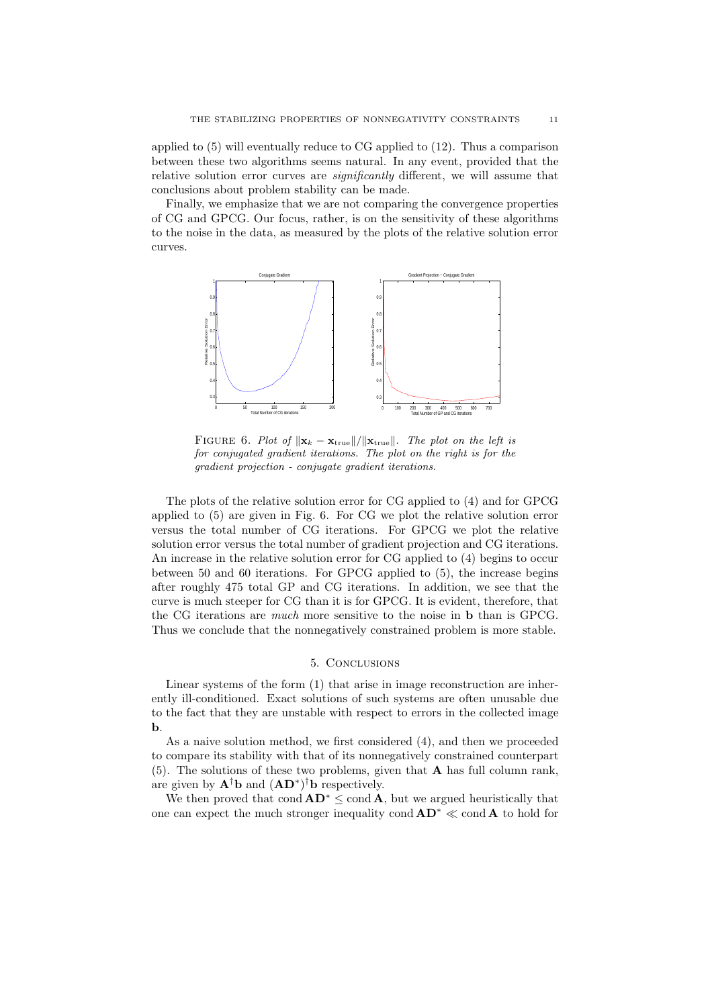applied to (5) will eventually reduce to CG applied to (12). Thus a comparison between these two algorithms seems natural. In any event, provided that the relative solution error curves are *significantly* different, we will assume that conclusions about problem stability can be made.

Finally, we emphasize that we are not comparing the convergence properties of CG and GPCG. Our focus, rather, is on the sensitivity of these algorithms to the noise in the data, as measured by the plots of the relative solution error curves.



FIGURE 6. Plot of  $\|\mathbf{x}_k - \mathbf{x}_{true}\|/\|\mathbf{x}_{true}\|$ . The plot on the left is for conjugated gradient iterations. The plot on the right is for the gradient projection - conjugate gradient iterations.

The plots of the relative solution error for CG applied to (4) and for GPCG applied to (5) are given in Fig. 6. For CG we plot the relative solution error versus the total number of CG iterations. For GPCG we plot the relative solution error versus the total number of gradient projection and CG iterations. An increase in the relative solution error for CG applied to (4) begins to occur between 50 and 60 iterations. For GPCG applied to (5), the increase begins after roughly 475 total GP and CG iterations. In addition, we see that the curve is much steeper for CG than it is for GPCG. It is evident, therefore, that the CG iterations are much more sensitive to the noise in b than is GPCG. Thus we conclude that the nonnegatively constrained problem is more stable.

# 5. Conclusions

Linear systems of the form (1) that arise in image reconstruction are inherently ill-conditioned. Exact solutions of such systems are often unusable due to the fact that they are unstable with respect to errors in the collected image b.

As a naive solution method, we first considered (4), and then we proceeded to compare its stability with that of its nonnegatively constrained counterpart (5). The solutions of these two problems, given that A has full column rank, are given by  $\mathbf{A}^\dagger \mathbf{b}$  and  $(\mathbf{A} \mathbf{D}^*)^\dagger \mathbf{b}$  respectively.

We then proved that cond  $AD^* \leq$  cond A, but we argued heuristically that one can expect the much stronger inequality cond  $AD^* \ll \text{cond } A$  to hold for